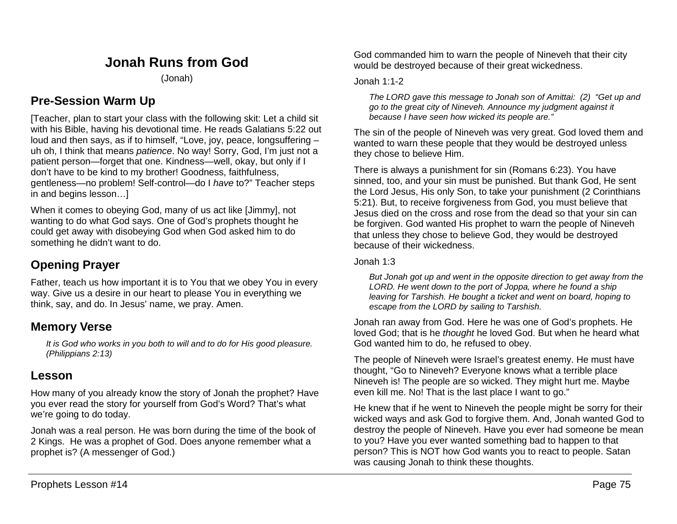# **Jonah Runs from God**

(Jonah)

## **Pre-Session Warm Up**

[Teacher, plan to start your class with the following skit: Let a child sit with his Bible, having his devotional time. He reads Galatians 5:22 out loud and then says, as if to himself, "Love, joy, peace, longsuffering – uh oh, I think that means *patience*. No way! Sorry, God, I'm just not a patient person—forget that one. Kindness—well, okay, but only if I don't have to be kind to my brother! Goodness, faithfulness, gentleness—no problem! Self-control—do I *have* to?" Teacher steps in and begins lesson…]

When it comes to obeying God, many of us act like [Jimmy], not wanting to do what God says. One of God's prophets thought he could get away with disobeying God when God asked him to do something he didn't want to do.

# **Opening Prayer**

Father, teach us how important it is to You that we obey You in every way. Give us a desire in our heart to please You in everything we think, say, and do. In Jesus' name, we pray. Amen.

## **Memory Verse**

*It is God who works in you both to will and to do for His good pleasure. (Philippians 2:13)*

## **Lesson**

How many of you already know the story of Jonah the prophet? Have you ever read the story for yourself from God's Word? That's what we're going to do today.

Jonah was a real person. He was born during the time of the book of 2 Kings. He was a prophet of God. Does anyone remember what a prophet is? (A messenger of God.)

God commanded him to warn the people of Nineveh that their city would be destroyed because of their great wickedness.

### Jonah 1:1-2

*The LORD gave this message to Jonah son of Amittai: (2) "Get up and go to the great city of Nineveh. Announce my judgment against it because I have seen how wicked its people are."*

The sin of the people of Nineveh was very great. God loved them and wanted to warn these people that they would be destroyed unless they chose to believe Him.

There is always a punishment for sin (Romans 6:23). You have sinned, too, and your sin must be punished. But thank God, He sent the Lord Jesus, His only Son, to take your punishment (2 Corinthians 5:21). But, to receive forgiveness from God, you must believe that Jesus died on the cross and rose from the dead so that your sin can be forgiven. God wanted His prophet to warn the people of Nineveh that unless they chose to believe God, they would be destroyed because of their wickedness.

### Jonah 1:3

*But Jonah got up and went in the opposite direction to get away from the LORD. He went down to the port of Joppa, where he found a ship leaving for Tarshish. He bought a ticket and went on board, hoping to escape from the LORD by sailing to Tarshish.*

Jonah ran away from God. Here he was one of God's prophets. He loved God; that is he *thought* he loved God. But when he heard what God wanted him to do, he refused to obey.

The people of Nineveh were Israel's greatest enemy. He must have thought, "Go to Nineveh? Everyone knows what a terrible place Nineveh is! The people are so wicked. They might hurt me. Maybe even kill me. No! That is the last place I want to go."

He knew that if he went to Nineveh the people might be sorry for their wicked ways and ask God to forgive them. And, Jonah wanted God to destroy the people of Nineveh. Have you ever had someone be mean to you? Have you ever wanted something bad to happen to that person? This is NOT how God wants you to react to people. Satan was causing Jonah to think these thoughts.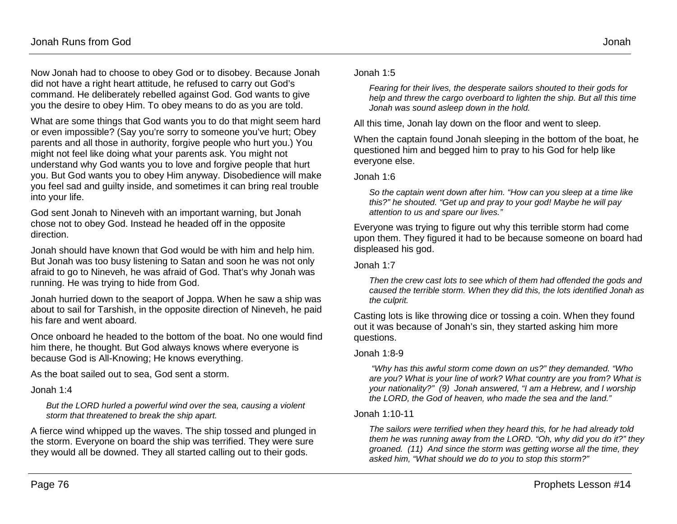Now Jonah had to choose to obey God or to disobey. Because Jonah did not have a right heart attitude, he refused to carry out God's command. He deliberately rebelled against God. God wants to give you the desire to obey Him. To obey means to do as you are told.

What are some things that God wants you to do that might seem hard or even impossible? (Say you're sorry to someone you've hurt; Obey parents and all those in authority, forgive people who hurt you.) You might not feel like doing what your parents ask. You might not understand why God wants you to love and forgive people that hurt you. But God wants you to obey Him anyway. Disobedience will make you feel sad and guilty inside, and sometimes it can bring real trouble into your life.

God sent Jonah to Nineveh with an important warning, but Jonah chose not to obey God. Instead he headed off in the opposite direction.

Jonah should have known that God would be with him and help him. But Jonah was too busy listening to Satan and soon he was not only afraid to go to Nineveh, he was afraid of God. That's why Jonah was running. He was trying to hide from God.

Jonah hurried down to the seaport of Joppa. When he saw a ship was about to sail for Tarshish, in the opposite direction of Nineveh, he paid his fare and went aboard.

Once onboard he headed to the bottom of the boat. No one would find him there, he thought. But God always knows where everyone is because God is All-Knowing; He knows everything.

As the boat sailed out to sea, God sent a storm.

Jonah 1:4

*But the LORD hurled a powerful wind over the sea, causing a violent storm that threatened to break the ship apart.*

A fierce wind whipped up the waves. The ship tossed and plunged in the storm. Everyone on board the ship was terrified. They were sure they would all be downed. They all started calling out to their gods.

Jonah 1:5

*Fearing for their lives, the desperate sailors shouted to their gods for help and threw the cargo overboard to lighten the ship. But all this time Jonah was sound asleep down in the hold.*

All this time, Jonah lay down on the floor and went to sleep.

When the captain found Jonah sleeping in the bottom of the boat, he questioned him and begged him to pray to his God for help like everyone else.

Jonah 1:6

*So the captain went down after him. "How can you sleep at a time like this?" he shouted. "Get up and pray to your god! Maybe he will pay attention to us and spare our lives."*

Everyone was trying to figure out why this terrible storm had come upon them. They figured it had to be because someone on board had displeased his god.

Jonah 1:7

*Then the crew cast lots to see which of them had offended the gods and caused the terrible storm. When they did this, the lots identified Jonah as the culprit.*

Casting lots is like throwing dice or tossing a coin. When they found out it was because of Jonah's sin, they started asking him more questions.

#### Jonah 1:8-9

*"Why has this awful storm come down on us?" they demanded. "Who are you? What is your line of work? What country are you from? What is your nationality?" (9) Jonah answered, "I am a Hebrew, and I worship the LORD, the God of heaven, who made the sea and the land."*

#### Jonah 1:10-11

*The sailors were terrified when they heard this, for he had already told them he was running away from the LORD. "Oh, why did you do it?" they groaned. (11) And since the storm was getting worse all the time, they asked him, "What should we do to you to stop this storm?"*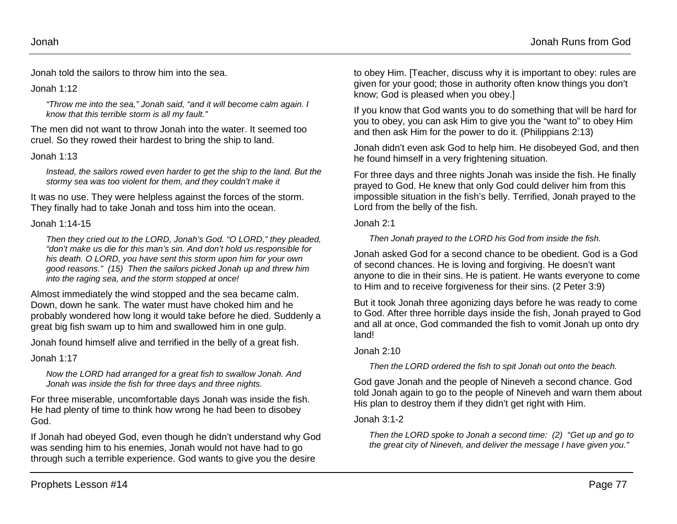Jonah told the sailors to throw him into the sea.

#### Jonah 1:12

*"Throw me into the sea," Jonah said, "and it will become calm again. I know that this terrible storm is all my fault."*

The men did not want to throw Jonah into the water. It seemed too cruel. So they rowed their hardest to bring the ship to land.

### Jonah 1:13

*Instead, the sailors rowed even harder to get the ship to the land. But the stormy sea was too violent for them, and they couldn't make it*

It was no use. They were helpless against the forces of the storm. They finally had to take Jonah and toss him into the ocean.

#### Jonah 1:14-15

*Then they cried out to the LORD, Jonah's God. "O LORD," they pleaded, "don't make us die for this man's sin. And don't hold us responsible for his death. O LORD, you have sent this storm upon him for your own good reasons." (15) Then the sailors picked Jonah up and threw him into the raging sea, and the storm stopped at once!*

Almost immediately the wind stopped and the sea became calm. Down, down he sank. The water must have choked him and he probably wondered how long it would take before he died. Suddenly a great big fish swam up to him and swallowed him in one gulp.

Jonah found himself alive and terrified in the belly of a great fish.

Jonah 1:17

*Now the LORD had arranged for a great fish to swallow Jonah. And Jonah was inside the fish for three days and three nights.*

For three miserable, uncomfortable days Jonah was inside the fish. He had plenty of time to think how wrong he had been to disobey God.

If Jonah had obeyed God, even though he didn't understand why God was sending him to his enemies, Jonah would not have had to go through such a terrible experience. God wants to give you the desire

to obey Him. [Teacher, discuss why it is important to obey: rules are given for your good; those in authority often know things you don't know; God is pleased when you obey.]

If you know that God wants you to do something that will be hard for you to obey, you can ask Him to give you the "want to" to obey Him and then ask Him for the power to do it. (Philippians 2:13)

Jonah didn't even ask God to help him. He disobeyed God, and then he found himself in a very frightening situation.

For three days and three nights Jonah was inside the fish. He finally prayed to God. He knew that only God could deliver him from this impossible situation in the fish's belly. Terrified, Jonah prayed to the Lord from the belly of the fish.

Jonah 2:1

*Then Jonah prayed to the LORD his God from inside the fish.*

Jonah asked God for a second chance to be obedient. God is a God of second chances. He is loving and forgiving. He doesn't want anyone to die in their sins. He is patient. He wants everyone to come to Him and to receive forgiveness for their sins. (2 Peter 3:9)

But it took Jonah three agonizing days before he was ready to come to God. After three horrible days inside the fish, Jonah prayed to God and all at once, God commanded the fish to vomit Jonah up onto dry land!

### Jonah 2:10

*Then the LORD ordered the fish to spit Jonah out onto the beach.*

God gave Jonah and the people of Nineveh a second chance. God told Jonah again to go to the people of Nineveh and warn them about His plan to destroy them if they didn't get right with Him.

### Jonah 3:1-2

*Then the LORD spoke to Jonah a second time: (2) "Get up and go to the great city of Nineveh, and deliver the message I have given you."*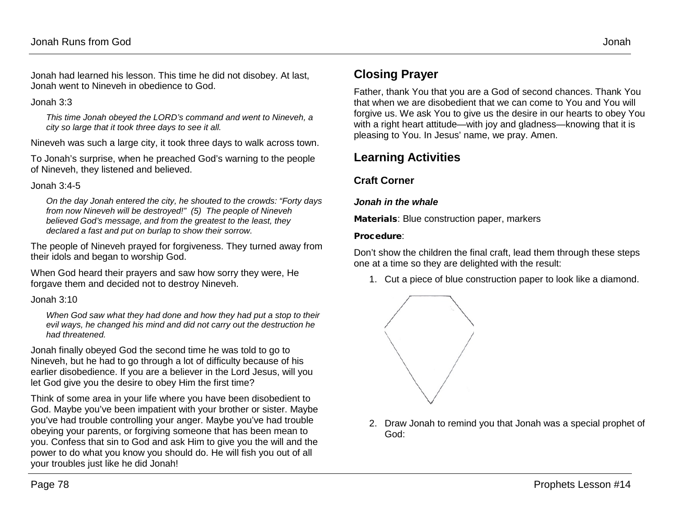Jonah had learned his lesson. This time he did not disobey. At last, Jonah went to Nineveh in obedience to God.

Jonah 3:3

*This time Jonah obeyed the LORD's command and went to Nineveh, a city so large that it took three days to see it all.*

Nineveh was such a large city, it took three days to walk across town.

To Jonah's surprise, when he preached God's warning to the people of Nineveh, they listened and believed.

Jonah 3:4-5

*On the day Jonah entered the city, he shouted to the crowds: "Forty days from now Nineveh will be destroyed!" (5) The people of Nineveh believed God's message, and from the greatest to the least, they declared a fast and put on burlap to show their sorrow.*

The people of Nineveh prayed for forgiveness. They turned away from their idols and began to worship God.

When God heard their prayers and saw how sorry they were, He forgave them and decided not to destroy Nineveh.

Jonah 3:10

*When God saw what they had done and how they had put a stop to their evil ways, he changed his mind and did not carry out the destruction he had threatened.*

Jonah finally obeyed God the second time he was told to go to Nineveh, but he had to go through a lot of difficulty because of his earlier disobedience. If you are a believer in the Lord Jesus, will you let God give you the desire to obey Him the first time?

Think of some area in your life where you have been disobedient to God. Maybe you've been impatient with your brother or sister. Maybe you've had trouble controlling your anger. Maybe you've had trouble obeying your parents, or forgiving someone that has been mean to you. Confess that sin to God and ask Him to give you the will and the power to do what you know you should do. He will fish you out of all your troubles just like he did Jonah!

## **Closing Prayer**

Father, thank You that you are a God of second chances. Thank You that when we are disobedient that we can come to You and You will forgive us. We ask You to give us the desire in our hearts to obey You with a right heart attitude—with joy and gladness—knowing that it is pleasing to You. In Jesus' name, we pray. Amen.

## **Learning Activities**

### **Craft Corner**

#### *Jonah in the whale*

Materials: Blue construction paper, markers

#### Procedure:

Don't show the children the final craft, lead them through these steps one at a time so they are delighted with the result:

1. Cut a piece of blue construction paper to look like a diamond.



2. Draw Jonah to remind you that Jonah was a special prophet of God: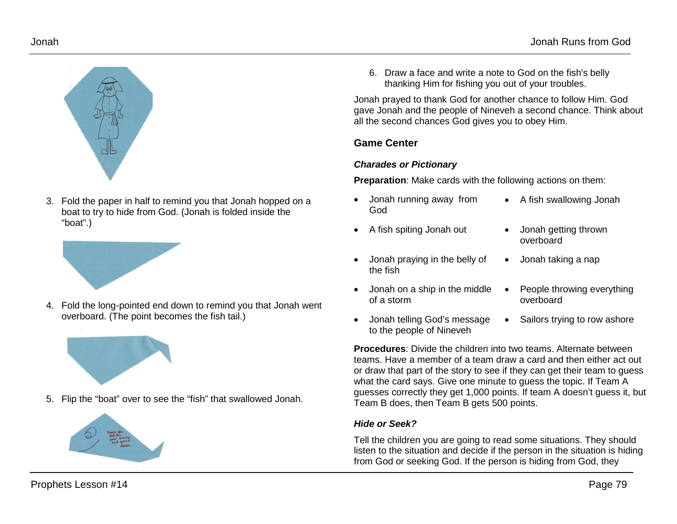



3. Fold the paper in half to remind you that Jonah hopped on a boat to try to hide from God. (Jonah is folded inside the "boat".)



4. Fold the long-pointed end down to remind you that Jonah went overboard. (The point becomes the fish tail.)



5. Flip the "boat" over to see the "fish" that swallowed Jonah.



6. Draw a face and write a note to God on the fish's belly thanking Him for fishing you out of your troubles.

Jonah prayed to thank God for another chance to follow Him. God gave Jonah and the people of Nineveh a second chance. Think about all the second chances God gives you to obey Him.

#### **Game Center**

#### *Charades or Pictionary*

**Preparation**: Make cards with the following actions on them:

- Jonah running away from God
- A fish spiting Jonah out Jonah getting thrown
- Jonah praying in the belly of the fish
- Jonah on a ship in the middle of a storm
- Jonah telling God's message to the people of Nineveh
- A fish swallowing Jonah
- overboard
- Jonah taking a nap
- People throwing everything overboard
- Sailors trying to row ashore

**Procedures**: Divide the children into two teams. Alternate between teams. Have a member of a team draw a card and then either act out or draw that part of the story to see if they can get their team to guess what the card says. Give one minute to guess the topic. If Team A guesses correctly they get 1,000 points. If team A doesn't guess it, but Team B does, then Team B gets 500 points.

### *Hide or Seek?*

Tell the children you are going to read some situations. They should listen to the situation and decide if the person in the situation is hiding from God or seeking God. If the person is hiding from God, they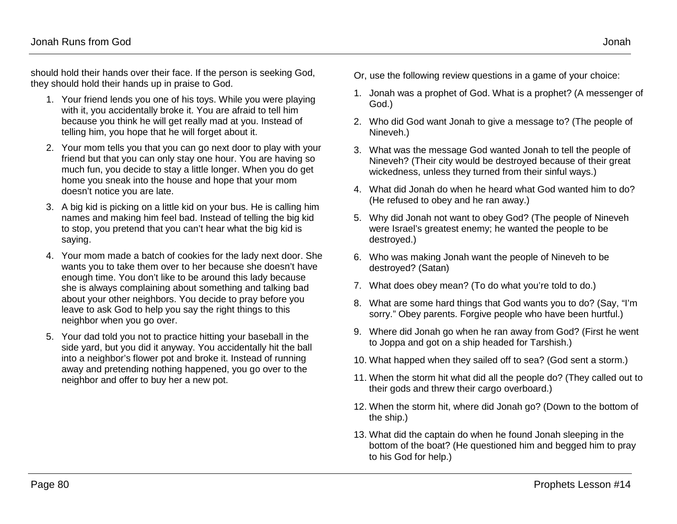should hold their hands over their face. If the person is seeking God, they should hold their hands up in praise to God.

- 1. Your friend lends you one of his toys. While you were playing with it, you accidentally broke it. You are afraid to tell him because you think he will get really mad at you. Instead of telling him, you hope that he will forget about it.
- 2. Your mom tells you that you can go next door to play with your friend but that you can only stay one hour. You are having so much fun, you decide to stay a little longer. When you do get home you sneak into the house and hope that your mom doesn't notice you are late.
- 3. A big kid is picking on a little kid on your bus. He is calling him names and making him feel bad. Instead of telling the big kid to stop, you pretend that you can't hear what the big kid is saying.
- 4. Your mom made a batch of cookies for the lady next door. She wants you to take them over to her because she doesn't have enough time. You don't like to be around this lady because she is always complaining about something and talking bad about your other neighbors. You decide to pray before you leave to ask God to help you say the right things to this neighbor when you go over.
- 5. Your dad told you not to practice hitting your baseball in the side yard, but you did it anyway. You accidentally hit the ball into a neighbor's flower pot and broke it. Instead of running away and pretending nothing happened, you go over to the neighbor and offer to buy her a new pot.
- Or, use the following review questions in a game of your choice:
- 1. Jonah was a prophet of God. What is a prophet? (A messenger of God.)
- 2. Who did God want Jonah to give a message to? (The people of Nineveh.)
- 3. What was the message God wanted Jonah to tell the people of Nineveh? (Their city would be destroyed because of their great wickedness, unless they turned from their sinful ways.)
- 4. What did Jonah do when he heard what God wanted him to do? (He refused to obey and he ran away.)
- 5. Why did Jonah not want to obey God? (The people of Nineveh were Israel's greatest enemy; he wanted the people to be destroyed.)
- 6. Who was making Jonah want the people of Nineveh to be destroyed? (Satan)
- 7. What does obey mean? (To do what you're told to do.)
- 8. What are some hard things that God wants you to do? (Say, "I'm sorry." Obey parents. Forgive people who have been hurtful.)
- 9. Where did Jonah go when he ran away from God? (First he went to Joppa and got on a ship headed for Tarshish.)
- 10. What happed when they sailed off to sea? (God sent a storm.)
- 11. When the storm hit what did all the people do? (They called out to their gods and threw their cargo overboard.)
- 12. When the storm hit, where did Jonah go? (Down to the bottom of the ship.)
- 13. What did the captain do when he found Jonah sleeping in the bottom of the boat? (He questioned him and begged him to pray to his God for help.)